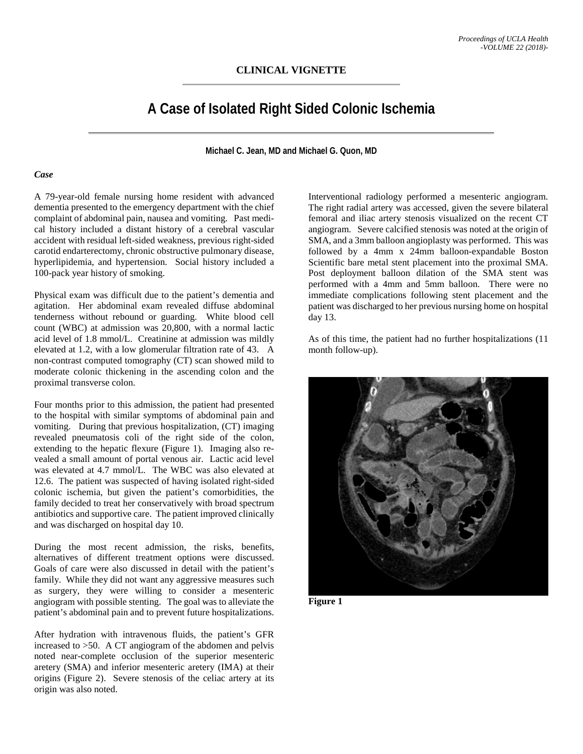# **A Case of Isolated Right Sided Colonic Ischemia**

**Michael C. Jean, MD and Michael G. Quon, MD**

### *Case*

A 79-year-old female nursing home resident with advanced dementia presented to the emergency department with the chief complaint of abdominal pain, nausea and vomiting. Past medical history included a distant history of a cerebral vascular accident with residual left-sided weakness, previous right-sided carotid endarterectomy, chronic obstructive pulmonary disease, hyperlipidemia, and hypertension. Social history included a 100-pack year history of smoking.

Physical exam was difficult due to the patient's dementia and agitation. Her abdominal exam revealed diffuse abdominal tenderness without rebound or guarding. White blood cell count (WBC) at admission was 20,800, with a normal lactic acid level of 1.8 mmol/L. Creatinine at admission was mildly elevated at 1.2, with a low glomerular filtration rate of 43. A non-contrast computed tomography (CT) scan showed mild to moderate colonic thickening in the ascending colon and the proximal transverse colon.

Four months prior to this admission, the patient had presented to the hospital with similar symptoms of abdominal pain and vomiting. During that previous hospitalization, (CT) imaging revealed pneumatosis coli of the right side of the colon, extending to the hepatic flexure (Figure 1). Imaging also revealed a small amount of portal venous air. Lactic acid level was elevated at 4.7 mmol/L. The WBC was also elevated at 12.6. The patient was suspected of having isolated right-sided colonic ischemia, but given the patient's comorbidities, the family decided to treat her conservatively with broad spectrum antibiotics and supportive care. The patient improved clinically and was discharged on hospital day 10.

During the most recent admission, the risks, benefits, alternatives of different treatment options were discussed. Goals of care were also discussed in detail with the patient's family. While they did not want any aggressive measures such as surgery, they were willing to consider a mesenteric angiogram with possible stenting. The goal was to alleviate the patient's abdominal pain and to prevent future hospitalizations.

After hydration with intravenous fluids, the patient's GFR increased to >50. A CT angiogram of the abdomen and pelvis noted near-complete occlusion of the superior mesenteric aretery (SMA) and inferior mesenteric aretery (IMA) at their origins (Figure 2). Severe stenosis of the celiac artery at its origin was also noted.

Interventional radiology performed a mesenteric angiogram. The right radial artery was accessed, given the severe bilateral femoral and iliac artery stenosis visualized on the recent CT angiogram. Severe calcified stenosis was noted at the origin of SMA, and a 3mm balloon angioplasty was performed. This was followed by a 4mm x 24mm balloon-expandable Boston Scientific bare metal stent placement into the proximal SMA. Post deployment balloon dilation of the SMA stent was performed with a 4mm and 5mm balloon. There were no immediate complications following stent placement and the patient was discharged to her previous nursing home on hospital day 13.

As of this time, the patient had no further hospitalizations (11 month follow-up).



**Figure 1**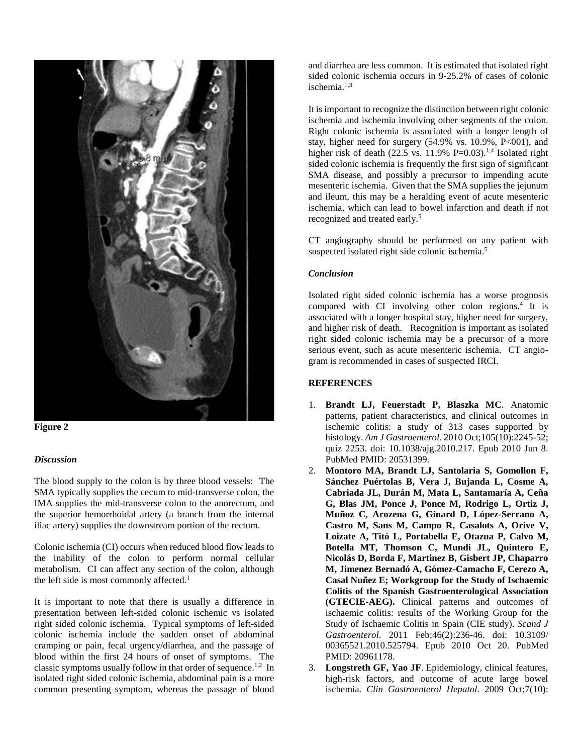



### *Discussion*

The blood supply to the colon is by three blood vessels: The SMA typically supplies the cecum to mid-transverse colon, the IMA supplies the mid-transverse colon to the anorectum, and the superior hemorrhoidal artery (a branch from the internal iliac artery) supplies the downstream portion of the rectum.

Colonic ischemia (CI) occurs when reduced blood flow leads to the inability of the colon to perform normal cellular metabolism. CI can affect any section of the colon, although the left side is most commonly affected.<sup>1</sup>

It is important to note that there is usually a difference in presentation between left-sided colonic ischemic vs isolated right sided colonic ischemia. Typical symptoms of left-sided colonic ischemia include the sudden onset of abdominal cramping or pain, fecal urgency/diarrhea, and the passage of blood within the first 24 hours of onset of symptoms. The classic symptoms usually follow in that order of sequence. 1,2 In isolated right sided colonic ischemia, abdominal pain is a more common presenting symptom, whereas the passage of blood

and diarrhea are less common. It is estimated that isolated right sided colonic ischemia occurs in 9-25.2% of cases of colonic ischemia. 1,3

It is important to recognize the distinction between right colonic ischemia and ischemia involving other segments of the colon. Right colonic ischemia is associated with a longer length of stay, higher need for surgery (54.9% vs. 10.9%, P<001), and higher risk of death (22.5 vs.  $11.9\%$  P=0.03).<sup>1,4</sup> Isolated right sided colonic ischemia is frequently the first sign of significant SMA disease, and possibly a precursor to impending acute mesenteric ischemia. Given that the SMA supplies the jejunum and ileum, this may be a heralding event of acute mesenteric ischemia, which can lead to bowel infarction and death if not recognized and treated early. 5

CT angiography should be performed on any patient with suspected isolated right side colonic ischemia.<sup>5</sup>

### *Conclusion*

Isolated right sided colonic ischemia has a worse prognosis compared with CI involving other colon regions. <sup>4</sup> It is associated with a longer hospital stay, higher need for surgery, and higher risk of death. Recognition is important as isolated right sided colonic ischemia may be a precursor of a more serious event, such as acute mesenteric ischemia. CT angiogram is recommended in cases of suspected IRCI.

## **REFERENCES**

- 1. **Brandt LJ, Feuerstadt P, Blaszka MC**. Anatomic patterns, patient characteristics, and clinical outcomes in ischemic colitis: a study of 313 cases supported by histology. *Am J Gastroenterol*. 2010 Oct;105(10):2245-52; quiz 2253. doi: 10.1038/ajg.2010.217. Epub 2010 Jun 8. PubMed PMID: 20531399.
- 2. **Montoro MA, Brandt LJ, Santolaria S, Gomollon F, Sánchez Puértolas B, Vera J, Bujanda L, Cosme A, Cabriada JL, Durán M, Mata L, Santamaría A, Ceña G, Blas JM, Ponce J, Ponce M, Rodrigo L, Ortiz J, Muñoz C, Arozena G, Ginard D, López-Serrano A, Castro M, Sans M, Campo R, Casalots A, Orive V, Loizate A, Titó L, Portabella E, Otazua P, Calvo M, Botella MT, Thomson C, Mundi JL, Quintero E, Nicolás D, Borda F, Martinez B, Gisbert JP, Chaparro M, Jimenez Bernadó A, Gómez-Camacho F, Cerezo A, Casal Nuñez E; Workgroup for the Study of Ischaemic Colitis of the Spanish Gastroenterological Association (GTECIE-AEG).** Clinical patterns and outcomes of ischaemic colitis: results of the Working Group for the Study of Ischaemic Colitis in Spain (CIE study). *Scand J Gastroenterol*. 2011 Feb;46(2):236-46. doi: 10.3109/ 00365521.2010.525794. Epub 2010 Oct 20. PubMed PMID: 20961178.
- 3. **Longstreth GF, Yao JF**. Epidemiology, clinical features, high-risk factors, and outcome of acute large bowel ischemia. *Clin Gastroenterol Hepatol*. 2009 Oct;7(10):